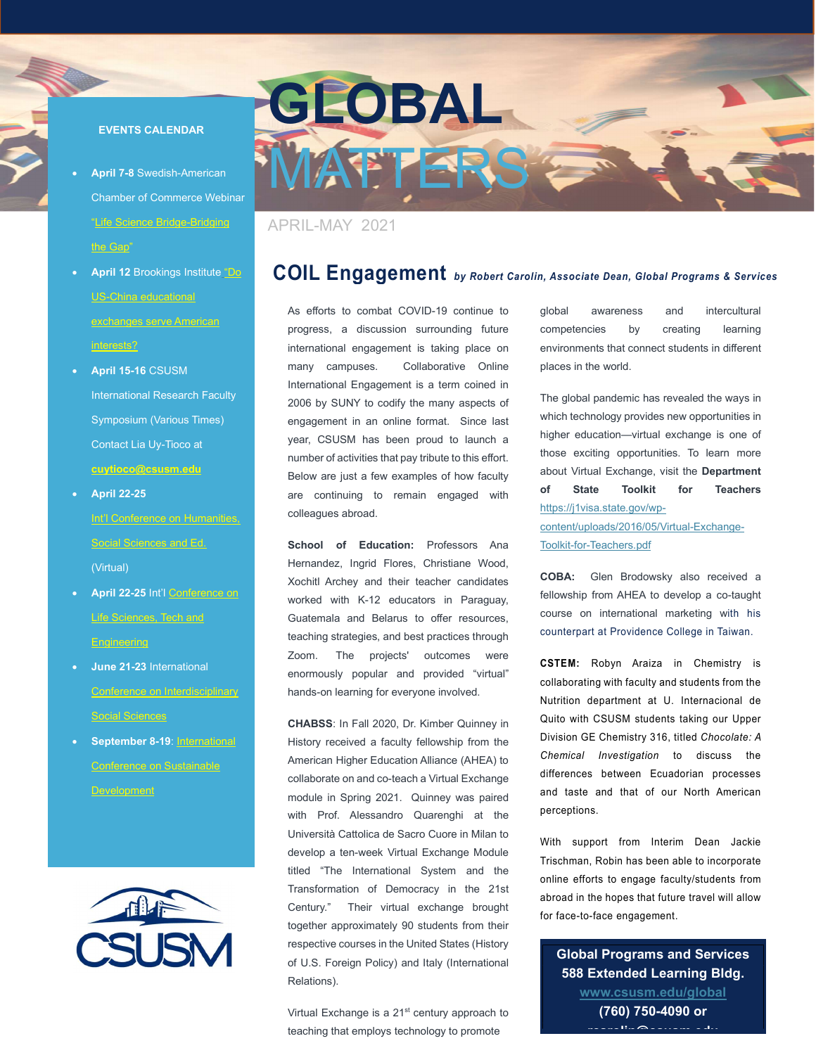#### EVENTS CALENDAR

- April 7-8 Swedish-American Chamber of Commerce Webinar "Life Science Bridge-Bridging the Gap"
- April 12 Brookings Institute "Do US-China educational exchanges serve American interests?
- April 15-16 CSUSM International Research Faculty Symposium (Various Times) Contact Lia Uy-Tioco at cuytioco@csusm.edu
- April 22-25 Int'l Conference on Humanities, Social Sciences and Ed. (Virtual)
- April 22-25 Int'l Conference on Life Sciences, Tech and **Engineering**
- June 21-23 International Conference on Interdisciplinary Social Sciences
- September 8-19: International Conference on Sustainable Development





### APRIL-MAY 2021

# COIL Engagement by Robert Carolin, Associate Dean, Global Programs & Services

As efforts to combat COVID-19 continue to progress, a discussion surrounding future international engagement is taking place on many campuses. Collaborative Online International Engagement is a term coined in 2006 by SUNY to codify the many aspects of engagement in an online format. Since last year, CSUSM has been proud to launch a number of activities that pay tribute to this effort. Below are just a few examples of how faculty are continuing to remain engaged with colleagues abroad.

School of Education: Professors Ana Hernandez, Ingrid Flores, Christiane Wood, Xochitl Archey and their teacher candidates worked with K-12 educators in Paraguay, Guatemala and Belarus to offer resources, teaching strategies, and best practices through Zoom. The projects' outcomes were enormously popular and provided "virtual" hands-on learning for everyone involved.

CHABSS: In Fall 2020, Dr. Kimber Quinney in History received a faculty fellowship from the American Higher Education Alliance (AHEA) to collaborate on and co-teach a Virtual Exchange module in Spring 2021. Quinney was paired with Prof. Alessandro Quarenghi at the Università Cattolica de Sacro Cuore in Milan to develop a ten-week Virtual Exchange Module titled "The International System and the Transformation of Democracy in the 21st Century." Their virtual exchange brought together approximately 90 students from their respective courses in the United States (History of U.S. Foreign Policy) and Italy (International Relations).

Virtual Exchange is a 21<sup>st</sup> century approach to teaching that employs technology to promote

global awareness and intercultural competencies by creating learning environments that connect students in different places in the world.

The global pandemic has revealed the ways in which technology provides new opportunities in higher education—virtual exchange is one of those exciting opportunities. To learn more about Virtual Exchange, visit the Department of State Toolkit for Teachers https://j1visa.state.gov/wp-

content/uploads/2016/05/Virtual-Exchange-Toolkit-for-Teachers.pdf

COBA: Glen Brodowsky also received a fellowship from AHEA to develop a co-taught course on international marketing with his counterpart at Providence College in Taiwan.

CSTEM: Robyn Araiza in Chemistry is collaborating with faculty and students from the Nutrition department at U. Internacional de Quito with CSUSM students taking our Upper Division GE Chemistry 316, titled Chocolate: A Chemical Investigation to discuss the differences between Ecuadorian processes and taste and that of our North American perceptions.

With support from Interim Dean Jackie Trischman, Robin has been able to incorporate online efforts to engage faculty/students from abroad in the hopes that future travel will allow for face-to-face engagement.

Global Programs and Services 588 Extended Learning Bldg. www.csusm.edu/global (760) 750-4090 or rcarolin@csusm.edu